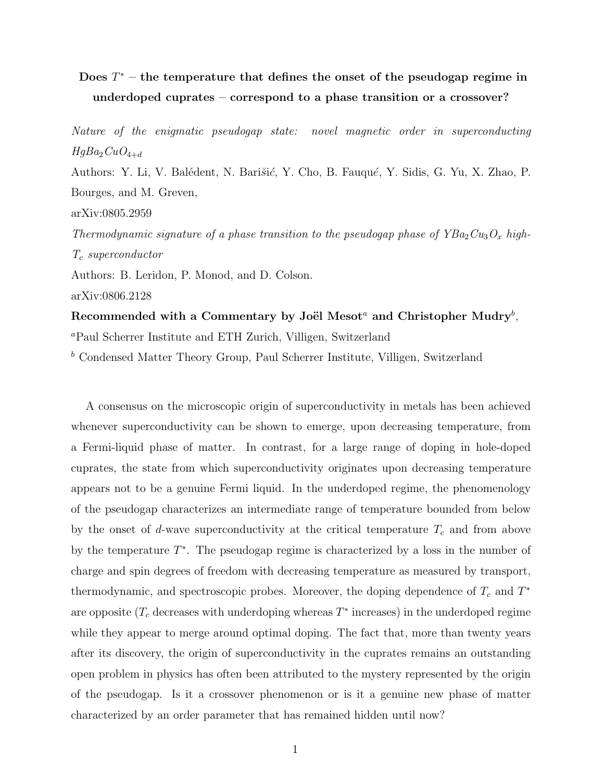## Does  $T^*$  – the temperature that defines the onset of the pseudogap regime in underdoped cuprates – correspond to a phase transition or a crossover?

Nature of the enigmatic pseudogap state: novel magnetic order in superconducting  $HgBa_2CuO_{4+d}$ 

Authors: Y. Li, V. Balédent, N. Barišić, Y. Cho, B. Fauqué, Y. Sidis, G. Yu, X. Zhao, P. Bourges, and M. Greven,

arXiv:0805.2959

Thermodynamic signature of a phase transition to the pseudogap phase of  $YBa_2Cu_3O_x$  high- $T_c$  superconductor

Authors: B. Leridon, P. Monod, and D. Colson.

arXiv:0806.2128

Recommended with a Commentary by Joël Mesot<sup>a</sup> and Christopher Mudry<sup>b</sup>, <sup>a</sup>Paul Scherrer Institute and ETH Zurich, Villigen, Switzerland

<sup>b</sup> Condensed Matter Theory Group, Paul Scherrer Institute, Villigen, Switzerland

A consensus on the microscopic origin of superconductivity in metals has been achieved whenever superconductivity can be shown to emerge, upon decreasing temperature, from a Fermi-liquid phase of matter. In contrast, for a large range of doping in hole-doped cuprates, the state from which superconductivity originates upon decreasing temperature appears not to be a genuine Fermi liquid. In the underdoped regime, the phenomenology of the pseudogap characterizes an intermediate range of temperature bounded from below by the onset of d-wave superconductivity at the critical temperature  $T_c$  and from above by the temperature  $T^*$ . The pseudogap regime is characterized by a loss in the number of charge and spin degrees of freedom with decreasing temperature as measured by transport, thermodynamic, and spectroscopic probes. Moreover, the doping dependence of  $T_c$  and  $T^*$ are opposite ( $T_c$  decreases with underdoping whereas  $T^*$  increases) in the underdoped regime while they appear to merge around optimal doping. The fact that, more than twenty years after its discovery, the origin of superconductivity in the cuprates remains an outstanding open problem in physics has often been attributed to the mystery represented by the origin of the pseudogap. Is it a crossover phenomenon or is it a genuine new phase of matter characterized by an order parameter that has remained hidden until now?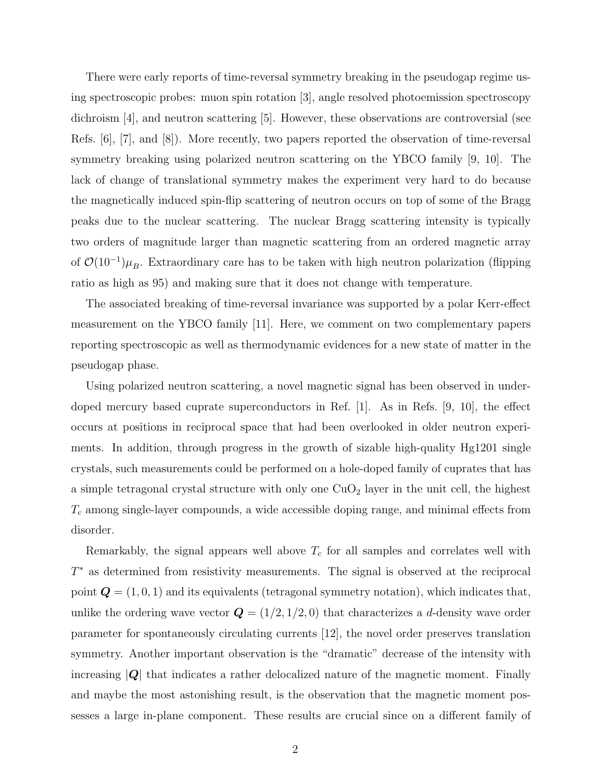There were early reports of time-reversal symmetry breaking in the pseudogap regime using spectroscopic probes: muon spin rotation [3], angle resolved photoemission spectroscopy dichroism [4], and neutron scattering [5]. However, these observations are controversial (see Refs. [6], [7], and [8]). More recently, two papers reported the observation of time-reversal symmetry breaking using polarized neutron scattering on the YBCO family [9, 10]. The lack of change of translational symmetry makes the experiment very hard to do because the magnetically induced spin-flip scattering of neutron occurs on top of some of the Bragg peaks due to the nuclear scattering. The nuclear Bragg scattering intensity is typically two orders of magnitude larger than magnetic scattering from an ordered magnetic array of  $\mathcal{O}(10^{-1})\mu_B$ . Extraordinary care has to be taken with high neutron polarization (flipping ratio as high as 95) and making sure that it does not change with temperature.

The associated breaking of time-reversal invariance was supported by a polar Kerr-effect measurement on the YBCO family [11]. Here, we comment on two complementary papers reporting spectroscopic as well as thermodynamic evidences for a new state of matter in the pseudogap phase.

Using polarized neutron scattering, a novel magnetic signal has been observed in underdoped mercury based cuprate superconductors in Ref. [1]. As in Refs. [9, 10], the effect occurs at positions in reciprocal space that had been overlooked in older neutron experiments. In addition, through progress in the growth of sizable high-quality Hg1201 single crystals, such measurements could be performed on a hole-doped family of cuprates that has a simple tetragonal crystal structure with only one  $CuO<sub>2</sub>$  layer in the unit cell, the highest  $T_c$  among single-layer compounds, a wide accessible doping range, and minimal effects from disorder.

Remarkably, the signal appears well above  $T_c$  for all samples and correlates well with T <sup>∗</sup> as determined from resistivity measurements. The signal is observed at the reciprocal point  $\mathbf{Q} = (1, 0, 1)$  and its equivalents (tetragonal symmetry notation), which indicates that, unlike the ordering wave vector  $\mathbf{Q} = (1/2, 1/2, 0)$  that characterizes a d-density wave order parameter for spontaneously circulating currents [12], the novel order preserves translation symmetry. Another important observation is the "dramatic" decrease of the intensity with increasing  $|Q|$  that indicates a rather delocalized nature of the magnetic moment. Finally and maybe the most astonishing result, is the observation that the magnetic moment possesses a large in-plane component. These results are crucial since on a different family of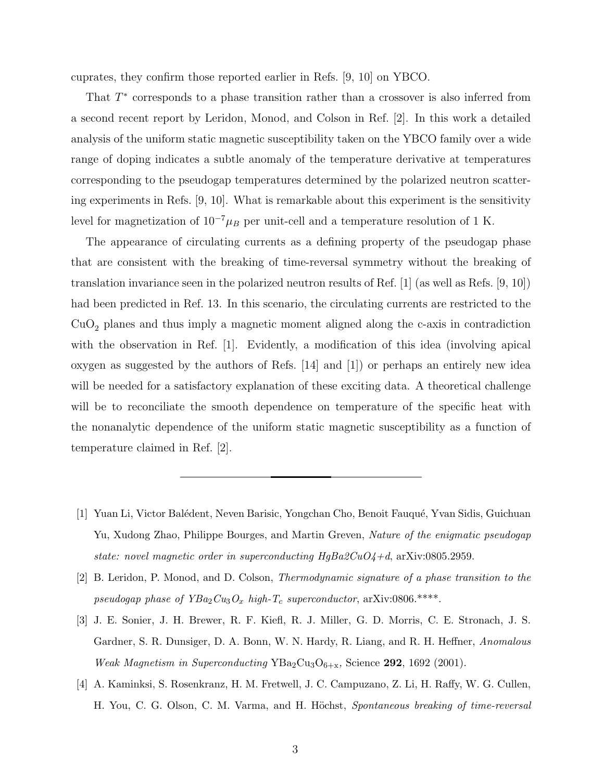cuprates, they confirm those reported earlier in Refs. [9, 10] on YBCO.

That  $T^*$  corresponds to a phase transition rather than a crossover is also inferred from a second recent report by Leridon, Monod, and Colson in Ref. [2]. In this work a detailed analysis of the uniform static magnetic susceptibility taken on the YBCO family over a wide range of doping indicates a subtle anomaly of the temperature derivative at temperatures corresponding to the pseudogap temperatures determined by the polarized neutron scattering experiments in Refs. [9, 10]. What is remarkable about this experiment is the sensitivity level for magnetization of  $10^{-7} \mu_B$  per unit-cell and a temperature resolution of 1 K.

The appearance of circulating currents as a defining property of the pseudogap phase that are consistent with the breaking of time-reversal symmetry without the breaking of translation invariance seen in the polarized neutron results of Ref. [1] (as well as Refs. [9, 10]) had been predicted in Ref. 13. In this scenario, the circulating currents are restricted to the  $CuO<sub>2</sub>$  planes and thus imply a magnetic moment aligned along the c-axis in contradiction with the observation in Ref. [1]. Evidently, a modification of this idea (involving apical oxygen as suggested by the authors of Refs. [14] and [1]) or perhaps an entirely new idea will be needed for a satisfactory explanation of these exciting data. A theoretical challenge will be to reconciliate the smooth dependence on temperature of the specific heat with the nonanalytic dependence of the uniform static magnetic susceptibility as a function of temperature claimed in Ref. [2].

- [1] Yuan Li, Victor Balédent, Neven Barisic, Yongchan Cho, Benoit Fauqué, Yvan Sidis, Guichuan Yu, Xudong Zhao, Philippe Bourges, and Martin Greven, Nature of the enigmatic pseudogap state: novel magnetic order in superconducting  $HgBa2CuO4+d$ , arXiv:0805.2959.
- [2] B. Leridon, P. Monod, and D. Colson, Thermodynamic signature of a phase transition to the pseudogap phase of  $YBa_2Cu_3O_x$  high- $T_c$  superconductor, arXiv:0806.\*\*\*\*.
- [3] J. E. Sonier, J. H. Brewer, R. F. Kiefl, R. J. Miller, G. D. Morris, C. E. Stronach, J. S. Gardner, S. R. Dunsiger, D. A. Bonn, W. N. Hardy, R. Liang, and R. H. Heffner, Anomalous Weak Magnetism in Superconducting  $YBa_2Cu_3O_{6+x}$ , Science 292, 1692 (2001).
- [4] A. Kaminksi, S. Rosenkranz, H. M. Fretwell, J. C. Campuzano, Z. Li, H. Raffy, W. G. Cullen, H. You, C. G. Olson, C. M. Varma, and H. Höchst, Spontaneous breaking of time-reversal